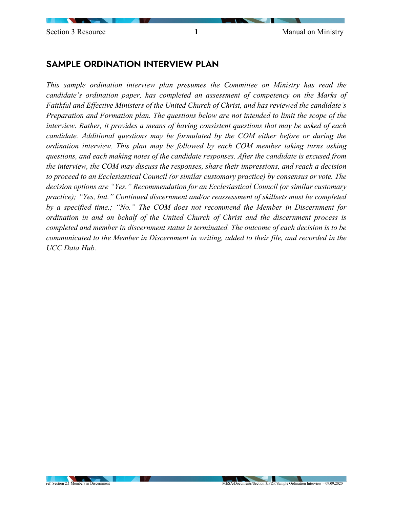## SAMPLE ORDINATION INTERVIEW PLAN

*This sample ordination interview plan presumes the Committee on Ministry has read the candidate's ordination paper, has completed an assessment of competency on the Marks of Faithful and Effective Ministers of the United Church of Christ, and has reviewed the candidate's Preparation and Formation plan. The questions below are not intended to limit the scope of the interview. Rather, it provides a means of having consistent questions that may be asked of each candidate. Additional questions may be formulated by the COM either before or during the ordination interview. This plan may be followed by each COM member taking turns asking questions, and each making notes of the candidate responses. After the candidate is excused from the interview, the COM may discuss the responses, share their impressions, and reach a decision to proceed to an Ecclesiastical Council (or similar customary practice) by consensus or vote. The decision options are "Yes." Recommendation for an Ecclesiastical Council (or similar customary practice); "Yes, but." Continued discernment and/or reassessment of skillsets must be completed by a specified time.; "No." The COM does not recommend the Member in Discernment for ordination in and on behalf of the United Church of Christ and the discernment process is completed and member in discernment status is terminated. The outcome of each decision is to be communicated to the Member in Discernment in writing, added to their file, and recorded in the UCC Data Hub.*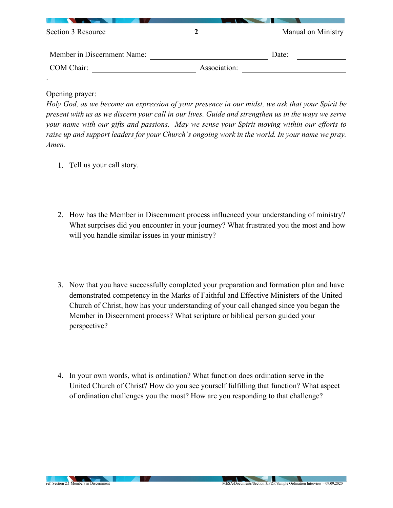| Section 3 Resource          |              | Manual on Ministry |
|-----------------------------|--------------|--------------------|
| Member in Discernment Name: |              | Date:              |
| COM Chair:                  | Association: |                    |
| $\bullet$                   |              |                    |

Opening prayer:

| Holy God, as we become an expression of your presence in our midst, we ask that your Spirit be     |
|----------------------------------------------------------------------------------------------------|
| present with us as we discern your call in our lives. Guide and strengthen us in the ways we serve |
| your name with our gifts and passions. May we sense your Spirit moving within our efforts to       |
| raise up and support leaders for your Church's ongoing work in the world. In your name we pray.    |
| Amen.                                                                                              |

- 1. Tell us your call story.
- 2. How has the Member in Discernment process influenced your understanding of ministry? What surprises did you encounter in your journey? What frustrated you the most and how will you handle similar issues in your ministry?
- 3. Now that you have successfully completed your preparation and formation plan and have demonstrated competency in the Marks of Faithful and Effective Ministers of the United Church of Christ, how has your understanding of your call changed since you began the Member in Discernment process? What scripture or biblical person guided your perspective?
- 4. In your own words, what is ordination? What function does ordination serve in the United Church of Christ? How do you see yourself fulfilling that function? What aspect of ordination challenges you the most? How are you responding to that challenge?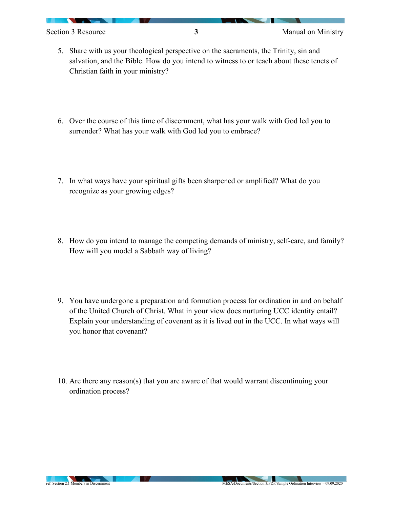- 5. Share with us your theological perspective on the sacraments, the Trinity, sin and salvation, and the Bible. How do you intend to witness to or teach about these tenets of Christian faith in your ministry?
- 6. Over the course of this time of discernment, what has your walk with God led you to surrender? What has your walk with God led you to embrace?
- 7. In what ways have your spiritual gifts been sharpened or amplified? What do you recognize as your growing edges?
- 8. How do you intend to manage the competing demands of ministry, self-care, and family? How will you model a Sabbath way of living?
- 9. You have undergone a preparation and formation process for ordination in and on behalf of the United Church of Christ. What in your view does nurturing UCC identity entail? Explain your understanding of covenant as it is lived out in the UCC. In what ways will you honor that covenant?
- 10. Are there any reason(s) that you are aware of that would warrant discontinuing your ordination process?